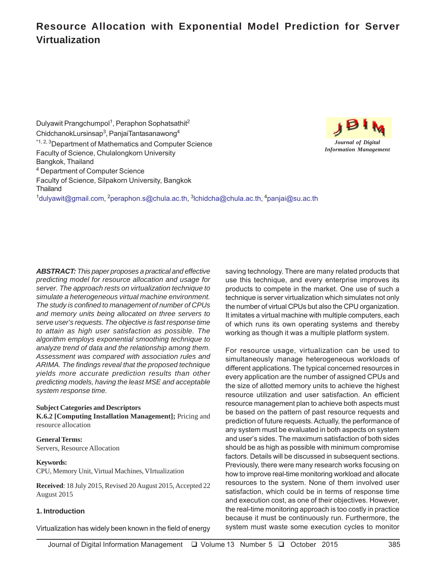# **Resource Allocation with Exponential Model Prediction for Server Virtualization**

Dulyawit Prangchumpol<sup>1</sup>, Peraphon Sophatsathit<sup>2</sup> ChidchanokLursinsap<sup>3</sup>, PanjaiTantasanawong<sup>4</sup> <sup>\*1, 2, 3</sup>Department of Mathematics and Computer Science Faculty of Science, Chulalongkorn University Bangkok, Thailand 4 Department of Computer Science Faculty of Science, Silpakorn University, Bangkok **Thailand** <sup>1</sup>dulyawit@gmail.com, <sup>2</sup>peraphon.s@chula.ac.th, <sup>3</sup>lchidcha@chula.ac.th, <sup>4</sup>panjai@su.ac.th



*ABSTRACT: This paper proposes a practical and effective predicting model for resource allocation and usage for server. The approach rests on virtualization technique to simulate a heterogeneous virtual machine environment. The study is confined to management of number of CPUs and memory units being allocated on three servers to serve user's requests. The objective is fast response time to attain as high user satisfaction as possible. The algorithm employs exponential smoothing technique to analyze trend of data and the relationship among them. Assessment was compared with association rules and ARIMA. The findings reveal that the proposed technique yields more accurate prediction results than other predicting models, having the least MSE and acceptable system response time.*

#### **Subject Categories and Descriptors K.6.2 [Computing Installation Management];** Pricing and resource allocation

**General Terms:** Servers, Resource Allocation

#### **Keywords:**

CPU, Memory Unit, Virtual Machines, VIrtualization

**Received**: 18 July 2015, Revised 20 August 2015, Accepted 22 August 2015

#### **1. Introduction**

Virtualization has widely been known in the field of energy

saving technology. There are many related products that use this technique, and every enterprise improves its products to compete in the market. One use of such a technique is server virtualization which simulates not only the number of virtual CPUs but also the CPU organization. It imitates a virtual machine with multiple computers, each of which runs its own operating systems and thereby working as though it was a multiple platform system.

For resource usage, virtualization can be used to simultaneously manage heterogeneous workloads of different applications. The typical concerned resources in every application are the number of assigned CPUs and the size of allotted memory units to achieve the highest resource utilization and user satisfaction. An efficient resource management plan to achieve both aspects must be based on the pattern of past resource requests and prediction of future requests. Actually, the performance of any system must be evaluated in both aspects on system and user's sides. The maximum satisfaction of both sides should be as high as possible with minimum compromise factors. Details will be discussed in subsequent sections. Previously, there were many research works focusing on how to improve real-time monitoring workload and allocate resources to the system. None of them involved user satisfaction, which could be in terms of response time and execution cost, as one of their objectives. However, the real-time monitoring approach is too costly in practice because it must be continuously run. Furthermore, the system must waste some execution cycles to monitor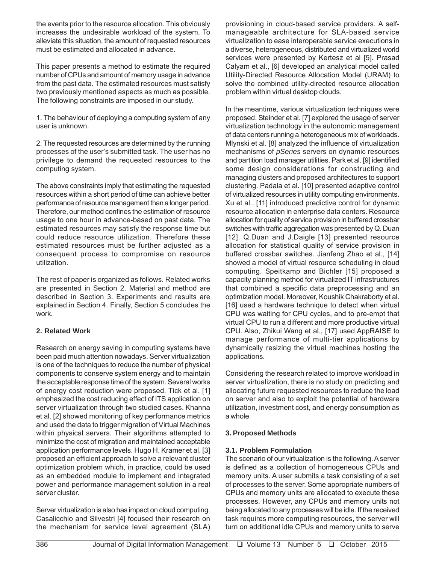the events prior to the resource allocation. This obviously increases the undesirable workload of the system. To alleviate this situation, the amount of requested resources must be estimated and allocated in advance.

This paper presents a method to estimate the required number of CPUs and amount of memory usage in advance from the past data. The estimated resources must satisfy two previously mentioned aspects as much as possible. The following constraints are imposed in our study.

1. The behaviour of deploying a computing system of any user is unknown.

2. The requested resources are determined by the running processes of the user's submitted task. The user has no privilege to demand the requested resources to the computing system.

The above constraints imply that estimating the requested resources within a short period of time can achieve better performance of resource management than a longer period. Therefore, our method confines the estimation of resource usage to one hour in advance-based on past data. The estimated resources may satisfy the response time but could reduce resource utilization. Therefore these estimated resources must be further adjusted as a consequent process to compromise on resource utilization.

The rest of paper is organized as follows. Related works are presented in Section 2. Material and method are described in Section 3. Experiments and results are explained in Section 4. Finally, Section 5 concludes the work.

# **2. Related Work**

Research on energy saving in computing systems have been paid much attention nowadays. Server virtualization is one of the techniques to reduce the number of physical components to conserve system energy and to maintain the acceptable response time of the system. Several works of energy cost reduction were proposed. Tick et al. [1] emphasized the cost reducing effect of ITS application on server virtualization through two studied cases. Khanna et al. [2] showed monitoring of key performance metrics and used the data to trigger migration of Virtual Machines within physical servers. Their algorithms attempted to minimize the cost of migration and maintained acceptable application performance levels. Hugo H. Kramer et al. [3] proposed an efficient approach to solve a relevant cluster optimization problem which, in practice, could be used as an embedded module to implement and integrated power and performance management solution in a real server cluster.

Server virtualization is also has impact on cloud computing. Casalicchio and Silvestri [4] focused their research on the mechanism for service level agreement (SLA) provisioning in cloud-based service providers. A selfmanageable architecture for SLA-based service virtualization to ease interoperable service executions in a diverse, heterogeneous, distributed and virtualized world services were presented by Kertesz et al [5]. Prasad Calyam et al., [6] developed an analytical model called Utility-Directed Resource Allocation Model (URAM) to solve the combined utility-directed resource allocation problem within virtual desktop clouds.

In the meantime, various virtualization techniques were proposed. Steinder et al. [7] explored the usage of server virtualization technology in the autonomic management of data centers running a heterogeneous mix of workloads. Mlynski et al. [8] analyzed the influence of virtualization mechanisms of *pSeries* servers on dynamic resources and partition load manager utilities. Park et al. [9] identified some design considerations for constructing and managing clusters and proposed architectures to support clustering. Padala et al. [10] presented adaptive control of virtualized resources in utility computing environments. Xu et al., [11] introduced predictive control for dynamic resource allocation in enterprise data centers. Resource allocation for quality of service provision in buffered crossbar switches with traffic aggregation was presented by Q. Duan [12]. Q.Duan and J.Daigle [13] presented resource allocation for statistical quality of service provision in buffered crossbar switches. Jianfeng Zhao et al., [14] showed a model of virtual resource scheduling in cloud computing. Speitkamp and Bichler [15] proposed a capacity planning method for virtualized IT infrastructures that combined a specific data preprocessing and an optimization model. Moreover, Koushik Chakraborty et al. [16] used a hardware technique to detect when virtual CPU was waiting for CPU cycles, and to pre-empt that virtual CPU to run a different and more productive virtual CPU. Also, Zhikui Wang et al., [17] used AppRAISE to manage performance of multi-tier applications by dynamically resizing the virtual machines hosting the applications.

Considering the research related to improve workload in server virtualization, there is no study on predicting and allocating future requested resources to reduce the load on server and also to exploit the potential of hardware utilization, investment cost, and energy consumption as a whole.

# **3. Proposed Methods**

# **3.1. Problem Formulation**

The scenario of our virtualization is the following. A server is defined as a collection of homogeneous CPUs and memory units. A user submits a task consisting of a set of processes to the server. Some appropriate numbers of CPUs and memory units are allocated to execute these processes. However, any CPUs and memory units not being allocated to any processes will be idle. If the received task requires more computing resources, the server will turn on additional idle CPUs and memory units to serve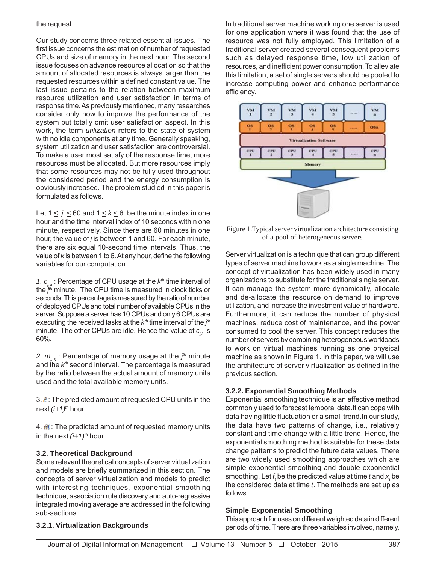### the request.

Our study concerns three related essential issues. The first issue concerns the estimation of number of requested CPUs and size of memory in the next hour. The second issue focuses on advance resource allocation so that the amount of allocated resources is always larger than the requested resources within a defined constant value. The last issue pertains to the relation between maximum resource utilization and user satisfaction in terms of response time. As previously mentioned, many researches consider only how to improve the performance of the system but totally omit user satisfaction aspect. In this work, the term *utilization* refers to the state of system with no idle components at any time. Generally speaking, system utilization and user satisfaction are controversial. To make a user most satisfy of the response time, more resources must be allocated. But more resources imply that some resources may not be fully used throughout the considered period and the energy consumption is obviously increased. The problem studied in this paper is formulated as follows.

Let  $1 \le j \le 60$  and  $1 \le k \le 6$  be the minute index in one hour and the time interval index of 10 seconds within one minute, respectively. Since there are 60 minutes in one hour, the value of *j* is between 1 and 60. For each minute, there are six equal 10-second time intervals. Thus, the value of *k* is between 1 to 6. At any hour, define the following variables for our computation.

*1. cj, k* : Percentage of CPU usage at the *kth* time interval of the *j th* minute. The CPU time is measured in clock ticks or seconds. This percentage is measured by the ratio of number of deployed CPUs and total number of available CPUs in the server. Suppose a server has 10 CPUs and only 6 CPUs are executing the received tasks at the  $k<sup>th</sup>$  time interval of the *j*<sup>th</sup> minute. The other CPUs are idle. Hence the value of  $c_{ik}$  is 60%.

2.  $m_{\tilde{j}, k}$ : Percentage of memory usage at the *j*<sup>th</sup> minute and the  $k<sup>th</sup>$  second interval. The percentage is measured by the ratio between the actual amount of memory units used and the total available memory units.

3.  $\tilde{c}$ : The predicted amount of requested CPU units in the next *(i+1)th* hour.

4.  $\tilde{m}$  : The predicted amount of requested memory units in the next  $(i+1)^{th}$  hour.

## **3.2. Theoretical Background**

Some relevant theoretical concepts of server virtualization and models are briefly summarized in this section. The concepts of server virtualization and models to predict with interesting techniques, exponential smoothing technique, association rule discovery and auto-regressive integrated moving average are addressed in the following sub-sections.

In traditional server machine working one server is used for one application where it was found that the use of resource was not fully employed. This limitation of a traditional server created several consequent problems such as delayed response time, low utilization of resources, and inefficient power consumption. To alleviate this limitation, a set of single servers should be pooled to increase computing power and enhance performance efficiency.



Figure 1.Typical server virtualization architecture consisting of a pool of heterogeneous servers

Server virtualization is a technique that can group different types of server machine to work as a single machine. The concept of virtualization has been widely used in many organizations to substitute for the traditional single server. It can manage the system more dynamically, allocate and de-allocate the resource on demand to improve utilization, and increase the investment value of hardware. Furthermore, it can reduce the number of physical machines, reduce cost of maintenance, and the power consumed to cool the server. This concept reduces the number of servers by combining heterogeneous workloads to work on virtual machines running as one physical machine as shown in Figure 1. In this paper, we will use the architecture of server virtualization as defined in the previous section.

## **3.2.2. Exponential Smoothing Methods**

Exponential smoothing technique is an effective method commonly used to forecast temporal data.It can cope with data having little fluctuation or a small trend.In our study, the data have two patterns of change, i.e., relatively constant and time change with a little trend. Hence, the exponential smoothing method is suitable for these data change patterns to predict the future data values. There are two widely used smoothing approaches which are simple exponential smoothing and double exponential smoothing. Let  $f_t$  be the predicted value at time  $t$  and  $\boldsymbol{\mathsf{x}}_t$  be the considered data at time *t*. The methods are set up as follows.

#### **Simple Exponential Smoothing**

This approach focuses on different weighted data in different periods of time. There are three variables involved, namely,

#### **3.2.1. Virtualization Backgrounds**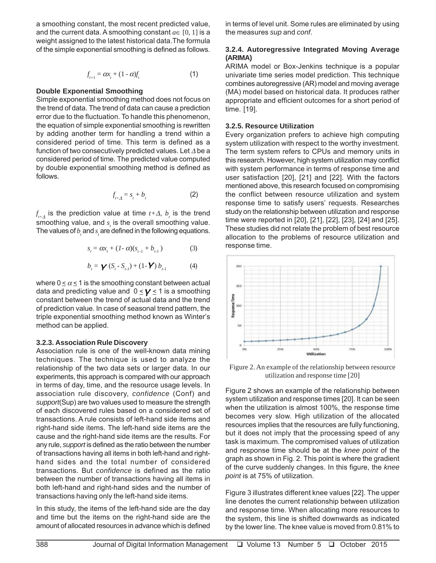a smoothing constant, the most recent predicted value, and the current data. A smoothing constant  $a \in [0, 1]$  is a weight assigned to the latest historical data.The formula of the simple exponential smoothing is defined as follows.

$$
f_{t+1} = \alpha x_t + (1 - \alpha)f_t \tag{1}
$$

## **Double Exponential Smoothing**

Simple exponential smoothing method does not focus on the trend of data. The trend of data can cause a prediction error due to the fluctuation. To handle this phenomenon, the equation of simple exponential smoothing is rewritten by adding another term for handling a trend within a considered period of time. This term is defined as a function of two consecutively predicted values. Let ∆ be a considered period of time. The predicted value computed by double exponential smoothing method is defined as follows.

$$
f_{t+\Delta} = s_t + b_t \tag{2}
$$

 $f_{_{t+\Delta}}$  is the prediction value at time  $t+\Delta$ ,  $b_{_t}$  is the trend smoothing value, and  $s<sub>t</sub>$  is the overall smoothing value. The values of  $b_{i}$  and  $s_{i}$  are defined in the following equations.

$$
s_{i} = \alpha x_{i} + (1 - \alpha)(s_{i-1} + b_{i-1})
$$
 (3)

$$
b_{t} = \mathbf{V} (S_{t} - S_{t-1}) + (1 - \mathbf{V}) b_{t-1}
$$
 (4)

where  $0 \le \alpha \le 1$  is the smoothing constant between actual data and predicting value and  $0 \leq Y \leq 1$  is a smoothing constant between the trend of actual data and the trend of prediction value. In case of seasonal trend pattern, the triple exponential smoothing method known as Winter's method can be applied.

#### **3.2.3. Association Rule Discovery**

Association rule is one of the well-known data mining techniques. The technique is used to analyze the relationship of the two data sets or larger data. In our experiments, this approach is compared with our approach in terms of day, time, and the resource usage levels. In association rule discovery, *confidence* (Conf) and *support*(Sup) are two values used to measure the strength of each discovered rules based on a considered set of transactions. A rule consists of left-hand side items and right-hand side items. The left-hand side items are the cause and the right-hand side items are the results. For any rule, *support* is defined as the ratio between the number of transactions having all items in both left-hand and righthand sides and the total number of considered transactions. But *confidence* is defined as the ratio between the number of transactions having all items in both left-hand and right-hand sides and the number of transactions having only the left-hand side items.

In this study, the items of the left-hand side are the day and time but the items on the right-hand side are the amount of allocated resources in advance which is defined

in terms of level unit. Some rules are eliminated by using the measures *sup* and *conf*.

## **3.2.4. Autoregressive Integrated Moving Average (ARIMA)**

ARIMA model or Box-Jenkins technique is a popular univariate time series model prediction. This technique combines autoregressive (AR) model and moving average (MA) model based on historical data. It produces rather appropriate and efficient outcomes for a short period of time. [19].

#### **3.2.5. Resource Utilization**

Every organization prefers to achieve high computing system utilization with respect to the worthy investment. The term system refers to CPUs and memory units in this research. However, high system utilization may conflict with system performance in terms of response time and user satisfaction [20], [21] and [22]. With the factors mentioned above, this research focused on compromising the conflict between resource utilization and system response time to satisfy users' requests. Researches study on the relationship between utilization and response time were reported in [20], [21], [22], [23], [24] and [25]. These studies did not relate the problem of best resource allocation to the problems of resource utilization and response time.



Figure 2. An example of the relationship between resource utilization and response time [20]

Figure 2 shows an example of the relationship between system utilization and response times [20]. It can be seen when the utilization is almost 100%, the response time becomes very slow. High utilization of the allocated resources implies that the resources are fully functioning, but it does not imply that the processing speed of any task is maximum. The compromised values of utilization and response time should be at the *knee point* of the graph as shown in Fig. 2. This point is where the gradient of the curve suddenly changes. In this figure, the *knee point* is at 75% of utilization.

Figure 3 illustrates different knee values [22]. The upper line denotes the current relationship between utilization and response time. When allocating more resources to the system, this line is shifted downwards as indicated by the lower line. The knee value is moved from 0.81% to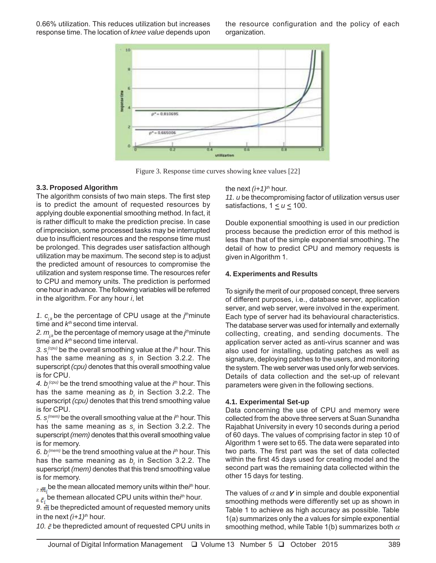0.66% utilization. This reduces utilization but increases response time. The location of *knee value* depends upon the resource configuration and the policy of each organization.



Figure 3. Response time curves showing knee values [22]

#### **3.3. Proposed Algorithm**

The algorithm consists of two main steps. The first step is to predict the amount of requested resources by applying double exponential smoothing method. In fact, it is rather difficult to make the prediction precise. In case of imprecision, some processed tasks may be interrupted due to insufficient resources and the response time must be prolonged. This degrades user satisfaction although utilization may be maximum. The second step is to adjust the predicted amount of resources to compromise the utilization and system response time. The resources refer to CPU and memory units. The prediction is performed one hour in advance. The following variables will be referred in the algorithm. For any hour *i*, let

1.  $c_{ijk}$  be the percentage of CPU usage at the  $j<sup>th</sup>$ minute time and  $k<sup>th</sup>$  second time interval.

2*. m<sub><sub>j,k</sub>* be the percentage of memory usage at the *j<sup>ih</sup>*minute</sub> time and  $k<sup>th</sup>$  second time interval.

3. s<sub>*i*</sub><sup>(cpu)</sup> be the overall smoothing value at the *i*<sup>th</sup> hour. This has the same meaning as  $s_t$  in Section 3.2.2. The superscript *(cpu)* denotes that this overall smoothing value is for CPU.

4.  $b_i^{(cpu)}$  be the trend smoothing value at the *i*<sup>th</sup> hour. This has the same meaning as  $b_t$  in Section 3.2.2. The superscript *(cpu)* denotes that this trend smoothing value is for CPU.

5. s<sub>i</sub><sup>(mem)</sup> be the overall smoothing value at the *i*<sup>th</sup> hour. This has the same meaning as  $s_t$  in Section 3.2.2. The superscript *(mem)* denotes that this overall smoothing value is for memory.

6.  $b_i^{(mem)}$  be the trend smoothing value at the *i*<sup>th</sup> hour. This has the same meaning as  $b_t$  in Section 3.2.2. The superscript *(mem)* denotes that this trend smoothing value is for memory.

*7.* be the mean allocated memory units within the*i th* hour.  $\delta$ *s*.  $\bar{\mathbf{c}}_i$  be themean allocated CPU units within the *i*<sup>th</sup> hour.

9.  $\tilde{m}$  be thepredicted amount of requested memory units in the next  $(i+1)^{th}$  hour.

10.  $\ddot{c}$  be thepredicted amount of requested CPU units in

the next  $(i+1)^{th}$  hour.

*11. u* be thecompromising factor of utilization versus user satisfactions,  $1 \le u \le 100$ .

Double exponential smoothing is used in our prediction process because the prediction error of this method is less than that of the simple exponential smoothing. The detail of how to predict CPU and memory requests is given in Algorithm 1.

#### **4. Experiments and Results**

To signify the merit of our proposed concept, three servers of different purposes, i.e., database server, application server, and web server, were involved in the experiment. Each type of server had its behavioural characteristics. The database server was used for internally and externally collecting, creating, and sending documents. The application server acted as anti-virus scanner and was also used for installing, updating patches as well as signature, deploying patches to the users, and monitoring the system. The web server was used only for web services. Details of data collection and the set-up of relevant parameters were given in the following sections.

#### **4.1. Experimental Set-up**

Data concerning the use of CPU and memory were collected from the above three servers at Suan Sunandha Rajabhat University in every 10 seconds during a period of 60 days. The values of comprising factor in step 10 of Algorithm 1 were set to 65. The data were separated into two parts. The first part was the set of data collected within the first 45 days used for creating model and the second part was the remaining data collected within the other 15 days for testing.

The values of  $\alpha$  and  $\gamma$  in simple and double exponential smoothing methods were differently set up as shown in Table 1 to achieve as high accuracy as possible. Table 1(a) summarizes only the *a* values for simple exponential smoothing method, while Table 1(b) summarizes both  $\alpha$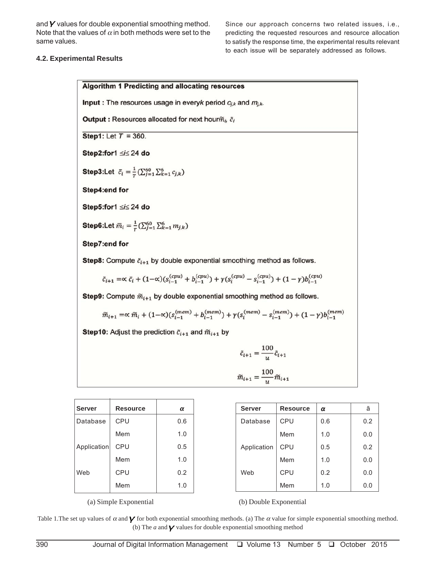and  $\boldsymbol{Y}$  values for double exponential smoothing method. Note that the values of  $\alpha$  in both methods were set to the same values.

Since our approach concerns two related issues, i.e., predicting the requested resources and resource allocation to satisfy the response time, the experimental results relevant to each issue will be separately addressed as follows.

#### **4.2. Experimental Results**

|                                                                                  | <b>Algorithm 1 Predicting and allocating resources</b>                                                                                                               |     |  |               |                 |        |  |  |  |  |  |
|----------------------------------------------------------------------------------|----------------------------------------------------------------------------------------------------------------------------------------------------------------------|-----|--|---------------|-----------------|--------|--|--|--|--|--|
| <b>Input</b> : The resources usage in everyk period $c_{j,k}$ and $m_{j,k}$ .    |                                                                                                                                                                      |     |  |               |                 |        |  |  |  |  |  |
| Output : Resources allocated for next hour $\widetilde{m}_i$ , $\widetilde{c}_i$ |                                                                                                                                                                      |     |  |               |                 |        |  |  |  |  |  |
| Step1: Let $T = 360$ .                                                           |                                                                                                                                                                      |     |  |               |                 |        |  |  |  |  |  |
| Step2:for1 ≤i≤ 24 do                                                             |                                                                                                                                                                      |     |  |               |                 |        |  |  |  |  |  |
|                                                                                  | <b>Step3:Let</b> $\bar{c}_i = \frac{1}{T} (\sum_{j=1}^{60} \sum_{k=1}^{6} c_{j,k})$                                                                                  |     |  |               |                 |        |  |  |  |  |  |
| Step4:end for                                                                    |                                                                                                                                                                      |     |  |               |                 |        |  |  |  |  |  |
|                                                                                  | Step5:for1 ≤i≤ 24 do                                                                                                                                                 |     |  |               |                 |        |  |  |  |  |  |
|                                                                                  | <b>Step6:Let</b> $\bar{m}_i = \frac{1}{T} (\sum_{j=1}^{60} \sum_{k=1}^{6} m_{j,k})$                                                                                  |     |  |               |                 |        |  |  |  |  |  |
| Step7:end for                                                                    |                                                                                                                                                                      |     |  |               |                 |        |  |  |  |  |  |
|                                                                                  | Step8: Compute $\tilde{c}_{i+1}$ by double exponential smoothing method as follows.                                                                                  |     |  |               |                 |        |  |  |  |  |  |
|                                                                                  | $\tilde{c}_{i+1} = \propto \bar{c}_i + (1-\propto)(s_{i-1}^{(cpu)} + b_{i-1}^{(cpu)}) + \gamma(s_i^{(cpu)} - s_{i-1}^{(cpu)}) + (1-\gamma)b_{i-1}^{(cpu)}$           |     |  |               |                 |        |  |  |  |  |  |
|                                                                                  | Step9: Compute $\widetilde{m}_{i+1}$ by double exponential smoothing method as follows.                                                                              |     |  |               |                 |        |  |  |  |  |  |
|                                                                                  | $\widetilde{m}_{i+1} = \propto \widetilde{m}_i + (1-\propto)(s_{i-1}^{(mem)} + b_{i-1}^{(mem)}) + \gamma(s_i^{(mem)} - s_{i-1}^{(mem)}) + (1-\gamma)b_{i-1}^{(mem)}$ |     |  |               |                 |        |  |  |  |  |  |
|                                                                                  | <b>Step10:</b> Adjust the prediction $\tilde{c}_{i+1}$ and $\tilde{m}_{i+1}$ by                                                                                      |     |  |               |                 |        |  |  |  |  |  |
|                                                                                  | $\tilde{c}_{i+1} = \frac{100}{u} \tilde{c}_{i+1}$                                                                                                                    |     |  |               |                 |        |  |  |  |  |  |
|                                                                                  | $\widetilde{m}_{i+1} = \frac{100}{v} \widetilde{m}_{i+1}$                                                                                                            |     |  |               |                 |        |  |  |  |  |  |
|                                                                                  |                                                                                                                                                                      |     |  |               |                 |        |  |  |  |  |  |
| <b>Server</b>                                                                    | <b>Resource</b>                                                                                                                                                      | α   |  | <b>Server</b> | <b>Resource</b> | α      |  |  |  |  |  |
| $D$ <sup>40</sup> $h$ 000                                                        | CDII                                                                                                                                                                 | n c |  |               | $\sqrt{2}$      | $\sim$ |  |  |  |  |  |

| <b>Server</b> | <b>Resource</b> | α   |
|---------------|-----------------|-----|
| Database      | CPU             | 0.6 |
|               | Mem             | 1.0 |
| Application   | CPU             | 0.5 |
|               | Mem             | 1.0 |
| Web           | CPU             | 0.2 |
|               | Mem             | 1.0 |

| <b>Server</b> | <b>Resource</b> | α   | ã   |
|---------------|-----------------|-----|-----|
| Database      | <b>CPU</b>      | 0.6 | 0.2 |
|               | Mem             | 1.0 | 0.0 |
| Application   | CPU             | 0.5 | 0.2 |
|               | Mem             | 1.0 | 0.0 |
| Web           | <b>CPU</b>      | 0.2 | 0.0 |
|               | Mem             | 1.0 | 0.0 |

(a) Simple Exponential (b) Double Exponential

Table 1. The set up values of  $\alpha$  and  $\gamma$  for both exponential smoothing methods. (a) The  $\alpha$  value for simple exponential smoothing method. (b) The  $a$  and  $\gamma$  values for double exponential smoothing method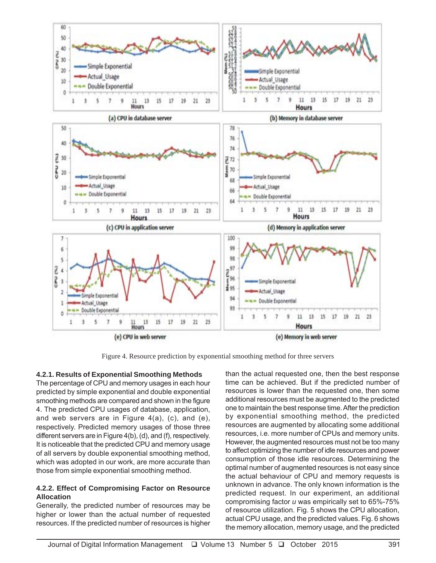

Figure 4. Resource prediction by exponential smoothing method for three servers

## **4.2.1. Results of Exponential Smoothing Methods**

The percentage of CPU and memory usages in each hour predicted by simple exponential and double exponential smoothing methods are compared and shown in the figure 4. The predicted CPU usages of database, application, and web servers are in Figure 4(a), (c), and (e), respectively. Predicted memory usages of those three different servers are in Figure 4(b), (d), and (f), respectively. It is noticeable that the predicted CPU and memory usage of all servers by double exponential smoothing method, which was adopted in our work, are more accurate than those from simple exponential smoothing method.

## **4.2.2. Effect of Compromising Factor on Resource Allocation**

Generally, the predicted number of resources may be higher or lower than the actual number of requested resources. If the predicted number of resources is higher

than the actual requested one, then the best response time can be achieved. But if the predicted number of resources is lower than the requested one, then some additional resources must be augmented to the predicted one to maintain the best response time. After the prediction by exponential smoothing method, the predicted resources are augmented by allocating some additional resources, i.e. more number of CPUs and memory units. However, the augmented resources must not be too many to affect optimizing the number of idle resources and power consumption of those idle resources. Determining the optimal number of augmented resources is not easy since the actual behaviour of CPU and memory requests is unknown in advance. The only known information is the predicted request. In our experiment, an additional compromising factor *u* was empirically set to 65%-75% of resource utilization. Fig. 5 shows the CPU allocation, actual CPU usage, and the predicted values. Fig. 6 shows the memory allocation, memory usage, and the predicted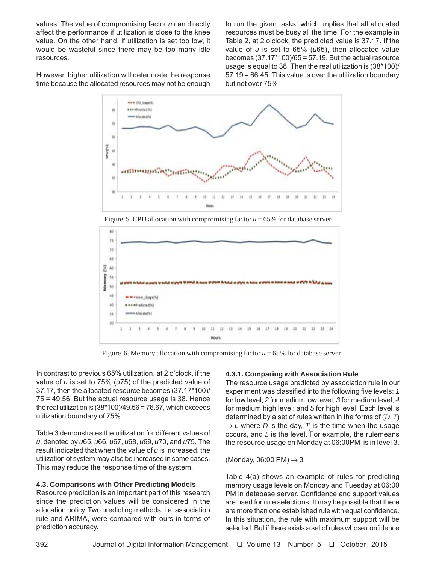values. The value of compromising factor *u* can directly affect the performance if utilization is close to the knee value. On the other hand, if utilization is set too low, it would be wasteful since there may be too many idle resources.

to run the given tasks, which implies that all allocated resources must be busy all the time. For the example in Table 2, at 2 o'clock, the predicted value is 37.17. If the value of *u* is set to 65% (*u*65), then allocated value becomes  $(37.17*100)/65 = 57.19$ . But the actual resource usage is equal to 38. Then the real utilization is (38\*100)/ 57.19 = 66.45. This value is over the utilization boundary but not over 75%.

However, higher utilization will deteriorate the response time because the allocated resources may not be enough



Figure 5. CPU allocation with compromising factor  $u = 65\%$  for database server



Figure 6. Memory allocation with compromising factor  $u = 65\%$  for database server

In contrast to previous 65% utilization, at 2 o'clock, if the value of *u* is set to 75% (*u*75) of the predicted value of 37.17, then the allocated resource becomes (37.17\*100)/ 75 = 49.56. But the actual resource usage is 38. Hence the real utilization is  $(38*100)/49.56 = 76.67$ , which exceeds utilization boundary of 75%.

Table 3 demonstrates the utilization for different values of *u*, denoted by *u*65, *u*66, *u*67, *u*68, *u*69, *u*70, and *u*75. The result indicated that when the value of *u* is increased, the utilization of system may also be increased in some cases. This may reduce the response time of the system.

# **4.3. Comparisons with Other Predicting Models**

Resource prediction is an important part of this research since the prediction values will be considered in the allocation policy. Two predicting methods, i.e. association rule and ARIMA, were compared with ours in terms of prediction accuracy.

## **4.3.1. Comparing with Association Rule**

The resource usage predicted by association rule in our experiment was classified into the following five levels: *1* for low level; *2* for medium low level; *3* for medium level; *4* for medium high level; and *5* for high level. Each level is determined by a set of rules written in the forms of (*D, T*)  $\rightarrow$  *L* where *D* is the day, *T* is the time when the usage occurs, and *L* is the level. For example, the rulemeans the resource usage on Monday at 06:00PM is in level 3.

(Monday, 06:00 PM)  $\rightarrow$  3

Table 4(a) shows an example of rules for predicting memory usage levels on Monday and Tuesday at 06:00 PM in database server. Confidence and support values are used for rule selections. It may be possible that there are more than one established rule with equal confidence. In this situation, the rule with maximum support will be selected. But if there exists a set of rules whose confidence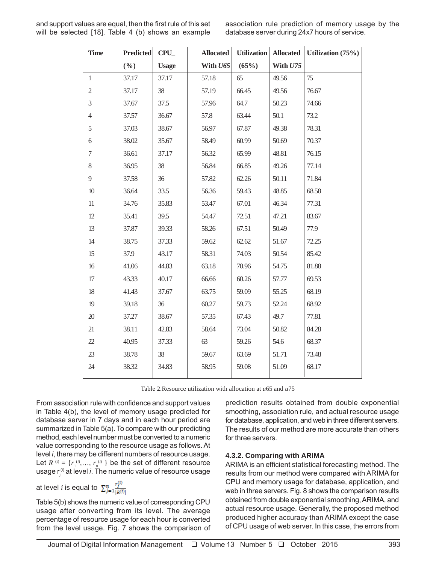and support values are equal, then the first rule of this set will be selected [18]. Table 4 (b) shows an example association rule prediction of memory usage by the database server during 24x7 hours of service.

| <b>Time</b>      | <b>Predicted</b> | <b>Allocated</b><br><b>CPU</b> |          | <b>Utilization</b> | <b>Allocated</b> | Utilization (75%) |
|------------------|------------------|--------------------------------|----------|--------------------|------------------|-------------------|
|                  | $(\frac{0}{0})$  | <b>Usage</b>                   | With U65 | (65%)              | With U75         |                   |
| $\mathbf{1}$     | 37.17            | 37.17                          | 57.18    | 65                 | 49.56            | 75                |
| $\sqrt{2}$       | 37.17            | 38                             | 57.19    | 66.45              | 49.56            | 76.67             |
| 3                | 37.67            | 37.5                           | 57.96    | 64.7               | 50.23            | 74.66             |
| $\overline{4}$   | 37.57            | 36.67                          | 57.8     | 63.44              | 50.1             | 73.2              |
| 5                | 37.03            | 38.67                          | 56.97    | 67.87              | 49.38            | 78.31             |
| $\sqrt{6}$       | 38.02            | 35.67                          | 58.49    | 60.99              | 50.69            | 70.37             |
| $\boldsymbol{7}$ | 36.61            | 37.17                          | 56.32    | 65.99              | 48.81            | 76.15             |
| 8                | 36.95            | 38                             | 56.84    | 66.85              | 49.26            | 77.14             |
| 9                | 37.58            | 36                             | 57.82    | 62.26              | 50.11            | 71.84             |
| 10               | 36.64            | 33.5                           | 56.36    | 59.43              | 48.85            | 68.58             |
| 11               | 34.76            | 35.83                          | 53.47    | 67.01              | 46.34            | 77.31             |
| 12               | 35.41            | 39.5                           | 54.47    | 72.51              | 47.21            | 83.67             |
| 13               | 37.87            | 39.33                          | 58.26    | 67.51              | 50.49            | 77.9              |
| 14               | 38.75            | 37.33                          | 59.62    | 62.62              | 51.67            | 72.25             |
| 15               | 37.9             | 43.17                          | 58.31    | 74.03              | 50.54            | 85.42             |
| 16               | 41.06            | 44.83                          | 63.18    | 70.96              | 54.75            | 81.88             |
| 17               | 43.33            | 40.17                          | 66.66    | 60.26              | 57.77            | 69.53             |
| 18               | 41.43            | 37.67                          | 63.75    | 59.09              | 55.25            | 68.19             |
| 19               | 39.18            | 36                             | 60.27    | 59.73              | 52.24            | 68.92             |
| $20\,$           | 37.27            | 38.67                          | 57.35    | 67.43              | 49.7             | 77.81             |
| 21               | 38.11            | 42.83                          | 58.64    | 73.04              | 50.82            | 84.28             |
| 22               | 40.95            | 37.33                          | 63       | 59.26              | 54.6             | 68.37             |
| 23               | 38.78            | 38                             | 59.67    | 63.69              | 51.71            | 73.48             |
| 24               | 38.32            | 34.83                          | 58.95    | 59.08              | 51.09            | 68.17             |

Table 2.Resource utilization with allocation at *u*65 and *u*75

From association rule with confidence and support values in Table 4(b), the level of memory usage predicted for database server in 7 days and in each hour period are summarized in Table 5(a). To compare with our predicting method, each level number must be converted to a numeric value corresponding to the resource usage as follows. At level *i*, there may be different numbers of resource usage. Let  $R^{(i)} = \{r_1^{(i)}, \ldots, r_n^{(i)}\}$  be the set of different resource usage r<sub>i</sub><sup>i)</sup> at level *i*. The numeric value of resource usage

at level *i* is equal to  $\sum_{j=1}^{n} \frac{r_j^{(i)}}{|R^{(i)}|}$ 

Table 5(b) shows the numeric value of corresponding CPU usage after converting from its level. The average percentage of resource usage for each hour is converted from the level usage. Fig. 7 shows the comparison of prediction results obtained from double exponential smoothing, association rule, and actual resource usage for database, application, and web in three different servers. The results of our method are more accurate than others for three servers.

## **4.3.2. Comparing with ARIMA**

ARIMA is an efficient statistical forecasting method. The results from our method were compared with ARIMA for CPU and memory usage for database, application, and web in three servers. Fig. 8 shows the comparison results obtained from double exponential smoothing, ARIMA, and actual resource usage. Generally, the proposed method produced higher accuracy than ARIMA except the case of CPU usage of web server. In this case, the errors from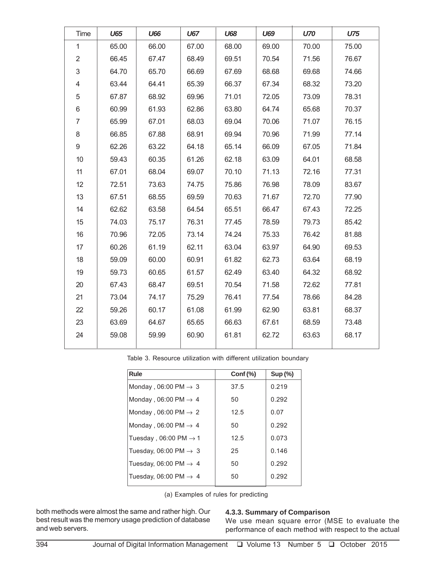| Time                      | U65   | <b>U66</b> | U67   | <b>U68</b> | U69   | <b>U70</b> | U75   |
|---------------------------|-------|------------|-------|------------|-------|------------|-------|
| $\mathbf{1}$              | 65.00 | 66.00      | 67.00 | 68.00      | 69.00 | 70.00      | 75.00 |
| $\overline{2}$            | 66.45 | 67.47      | 68.49 | 69.51      | 70.54 | 71.56      | 76.67 |
| $\ensuremath{\mathsf{3}}$ | 64.70 | 65.70      | 66.69 | 67.69      | 68.68 | 69.68      | 74.66 |
| 4                         | 63.44 | 64.41      | 65.39 | 66.37      | 67.34 | 68.32      | 73.20 |
| 5                         | 67.87 | 68.92      | 69.96 | 71.01      | 72.05 | 73.09      | 78.31 |
| 6                         | 60.99 | 61.93      | 62.86 | 63.80      | 64.74 | 65.68      | 70.37 |
| $\overline{7}$            | 65.99 | 67.01      | 68.03 | 69.04      | 70.06 | 71.07      | 76.15 |
| 8                         | 66.85 | 67.88      | 68.91 | 69.94      | 70.96 | 71.99      | 77.14 |
| 9                         | 62.26 | 63.22      | 64.18 | 65.14      | 66.09 | 67.05      | 71.84 |
| 10                        | 59.43 | 60.35      | 61.26 | 62.18      | 63.09 | 64.01      | 68.58 |
| 11                        | 67.01 | 68.04      | 69.07 | 70.10      | 71.13 | 72.16      | 77.31 |
| 12                        | 72.51 | 73.63      | 74.75 | 75.86      | 76.98 | 78.09      | 83.67 |
| 13                        | 67.51 | 68.55      | 69.59 | 70.63      | 71.67 | 72.70      | 77.90 |
| 14                        | 62.62 | 63.58      | 64.54 | 65.51      | 66.47 | 67.43      | 72.25 |
| 15                        | 74.03 | 75.17      | 76.31 | 77.45      | 78.59 | 79.73      | 85.42 |
| 16                        | 70.96 | 72.05      | 73.14 | 74.24      | 75.33 | 76.42      | 81.88 |
| 17                        | 60.26 | 61.19      | 62.11 | 63.04      | 63.97 | 64.90      | 69.53 |
| 18                        | 59.09 | 60.00      | 60.91 | 61.82      | 62.73 | 63.64      | 68.19 |
| 19                        | 59.73 | 60.65      | 61.57 | 62.49      | 63.40 | 64.32      | 68.92 |
| 20                        | 67.43 | 68.47      | 69.51 | 70.54      | 71.58 | 72.62      | 77.81 |
| 21                        | 73.04 | 74.17      | 75.29 | 76.41      | 77.54 | 78.66      | 84.28 |
| 22                        | 59.26 | 60.17      | 61.08 | 61.99      | 62.90 | 63.81      | 68.37 |
| 23                        | 63.69 | 64.67      | 65.65 | 66.63      | 67.61 | 68.59      | 73.48 |
| 24                        | 59.08 | 59.99      | 60.90 | 61.81      | 62.72 | 63.63      | 68.17 |
|                           |       |            |       |            |       |            |       |

Table 3. Resource utilization with different utilization boundary

| Rule                              | Cont (%) | Sup(%) |
|-----------------------------------|----------|--------|
| Monday, 06:00 PM $\rightarrow$ 3  | 37.5     | 0.219  |
| Monday, 06:00 PM $\rightarrow$ 4  | 50       | 0.292  |
| Monday, 06:00 PM $\rightarrow$ 2  | 12.5     | 0.07   |
| Monday, 06:00 PM $\rightarrow$ 4  | 50       | 0.292  |
| Tuesday, 06:00 PM $\rightarrow$ 1 | 12.5     | 0.073  |
| Tuesday, 06:00 PM $\rightarrow$ 3 | 25       | 0.146  |
| Tuesday, 06:00 PM $\rightarrow$ 4 | 50       | 0.292  |
| Tuesday, 06:00 PM $\rightarrow$ 4 | 50       | 0.292  |

(a) Examples of rules for predicting

both methods were almost the same and rather high. Our best result was the memory usage prediction of database and web servers.

## **4.3.3. Summary of Comparison**

We use mean square error (MSE to evaluate the performance of each method with respect to the actual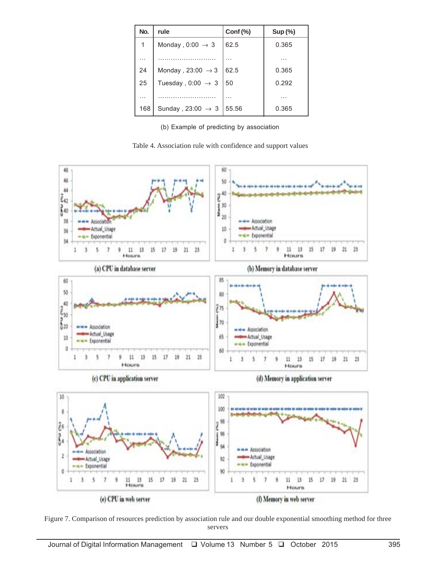| No. | rule                          | Cont (%) | Sup(%) |
|-----|-------------------------------|----------|--------|
| 1   | Monday, $0:00 \rightarrow 3$  | 62.5     | 0.365  |
|     |                               |          | .      |
| 24  | Monday, 23:00 $\rightarrow$ 3 | 62.5     | 0.365  |
| 25  | Tuesday, $0:00 \rightarrow 3$ | 50       | 0.292  |
| .   |                               |          |        |
| 168 | Sunday, 23:00 $\rightarrow$ 3 | 55.56    | 0.365  |

(b) Example of predicting by association

Table 4. Association rule with confidence and support values



Figure 7. Comparison of resources prediction by association rule and our double exponential smoothing method for three servers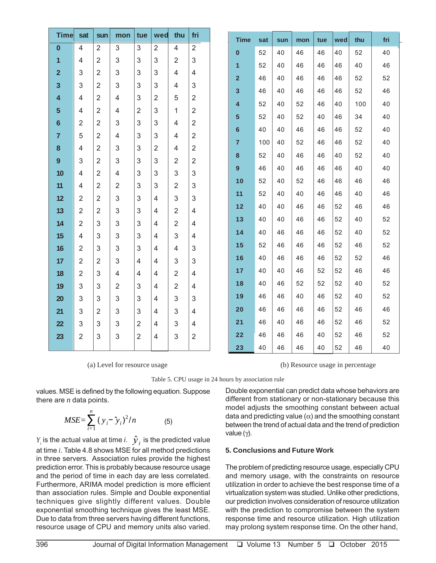| Time                    | sat            | sun            | mon            | tue            | wed            | thu            | fri            | <b>Time</b>             | sat | sun | mon | tue | wed | thu | fri |
|-------------------------|----------------|----------------|----------------|----------------|----------------|----------------|----------------|-------------------------|-----|-----|-----|-----|-----|-----|-----|
| $\mathbf{0}$            | $\overline{4}$ | $\overline{2}$ | 3              | 3              | $\overline{2}$ | $\overline{4}$ | $\overline{2}$ | $\bf{0}$                | 52  | 40  | 46  | 46  | 40  | 52  | 40  |
| 1                       | $\overline{4}$ | $\overline{2}$ | 3              | 3              | 3              | $\overline{2}$ | 3              | $\mathbf{1}$            | 52  | 40  | 46  | 46  | 46  | 40  | 46  |
| $\overline{2}$          | 3              | $\overline{2}$ | 3              | 3              | 3              | 4              | $\overline{4}$ | $\overline{2}$          | 46  | 40  | 46  | 46  | 46  | 52  | 52  |
| $\overline{\mathbf{3}}$ | 3              | $\overline{2}$ | 3              | 3              | 3              | 4              | 3              | $\overline{\mathbf{3}}$ | 46  | 40  | 46  | 46  | 46  | 52  | 46  |
| 4                       | 4              | $\overline{2}$ | 4              | 3              | 2              | 5              | $\overline{2}$ | 4                       | 52  | 40  | 52  | 46  | 40  | 100 | 40  |
| $5\phantom{1}$          | 4              | $\overline{2}$ | 4              | $\overline{2}$ | 3              | 1              | $\overline{2}$ |                         |     |     |     |     |     |     |     |
| $6\phantom{1}6$         | $\overline{2}$ | $\overline{2}$ | 3              | 3              | 3              | 4              | $\overline{2}$ | 5                       | 52  | 40  | 52  | 40  | 46  | 34  | 40  |
| $\overline{7}$          | 5              | $\overline{2}$ | $\overline{4}$ | 3              | 3              | 4              | $\overline{2}$ | 6                       | 40  | 40  | 46  | 46  | 46  | 52  | 40  |
| 8                       | 4              | $\overline{2}$ | 3              | 3              | $\overline{2}$ | 4              | $\overline{2}$ | $\overline{7}$          | 100 | 40  | 52  | 46  | 46  | 52  | 40  |
| 9                       | 3              | $\overline{2}$ | $\mathsf 3$    | 3              | 3              | $\overline{2}$ | $\overline{2}$ | $\bf8$                  | 52  | 40  | 46  | 46  | 40  | 52  | 40  |
| 10                      | $\overline{4}$ | $\overline{2}$ | $\overline{4}$ | 3              | 3              | 3              | 3              | 9                       | 46  | 40  | 46  | 46  | 46  | 40  | 40  |
| 11                      | 4              | 2              | $\overline{2}$ | 3              | 3              | $\overline{2}$ | 3              | 10                      | 52  | 40  | 52  | 46  | 46  | 46  | 46  |
| 12                      | $\overline{2}$ | $\overline{2}$ | 3              | 3              | 4              | 3              | 3              | 11                      | 52  | 40  | 40  | 46  | 46  | 40  | 46  |
| 13                      | $\overline{2}$ | $\overline{2}$ | 3              | 3              | 4              | $\overline{2}$ | 4              | 12                      | 40  | 40  | 46  | 46  | 52  | 46  | 46  |
| 14                      | $\overline{2}$ | $\sqrt{3}$     | $\mathsf 3$    | 3              | 4              | $\overline{2}$ | 4              | 13                      | 40  | 40  | 46  | 46  | 52  | 40  | 52  |
| 15                      | 4              | 3              | 3              | 3              | 4              | 3              | $\overline{4}$ | 14                      | 40  | 46  | 46  | 46  | 52  | 40  | 52  |
| 16                      | $\overline{2}$ | 3              | 3              | 3              | $\overline{4}$ | 4              | 3              | 15                      | 52  | 46  | 46  | 46  | 52  | 46  | 52  |
| 17                      | $\overline{2}$ | $\overline{2}$ | 3              | 4              | 4              | 3              | 3              | 16                      | 40  | 46  | 46  | 46  | 52  | 52  | 46  |
| 18                      | $\overline{2}$ | 3              | 4              | 4              | 4              | $\overline{2}$ | 4              | 17                      | 40  | 40  | 46  | 52  | 52  | 46  | 46  |
| 19                      | 3              | 3              | $\overline{2}$ | 3              | 4              | $\overline{2}$ | $\overline{4}$ | 18                      | 40  | 46  | 52  | 52  | 52  | 40  | 52  |
| 20                      | 3              | 3              | 3              | 3              | $\overline{4}$ | 3              | 3              | 19                      | 46  | 46  | 40  | 46  | 52  | 40  | 52  |
| 21                      | 3              | 2              | 3              | 3              | 4              | 3              | 4              | 20                      | 46  | 46  | 46  | 46  | 52  | 46  | 46  |
| 22                      | 3              | 3              | 3              | 2              | 4              | 3              | 4              | 21                      | 46  | 40  | 46  | 46  | 52  | 46  | 52  |
| 23                      | $\overline{2}$ | 3              | 3              | $\overline{2}$ | 4              | 3              | $\overline{2}$ | 22                      | 46  | 46  | 46  | 40  | 52  | 46  | 52  |
|                         |                |                |                |                |                |                |                | 23                      | 40  | 46  | 46  | 40  | 52  | 46  | 40  |

(a) Level for resource usage (b) Resource usage in percentage

Table 5. CPU usage in 24 hours by association rule

there are *n* data points.

$$
MSE = \sum_{i=1}^{n} (y_i - \hat{y}_i)^2 / n
$$
 (5)

*Y<sub>i</sub>* is the actual value at time *i.*  $\hat{y}_i$  is the predicted value at time *i*. Table 4.8 shows MSE for all method predictions in three servers. Association rules provide the highest prediction error. This is probably because resource usage and the period of time in each day are less correlated. Furthermore, ARIMA model prediction is more efficient than association rules. Simple and Double exponential techniques give slightly different values. Double exponential smoothing technique gives the least MSE. Due to data from three servers having different functions, resource usage of CPU and memory units also varied.

values. MSE is defined by the following equation. Suppose Double exponential can predict data whose behaviors are different from stationary or non-stationary because this model adjusts the smoothing constant between actual data and predicting value  $(\alpha)$  and the smoothing constant between the trend of actual data and the trend of prediction value (γ).

# **5. Conclusions and Future Work**

The problem of predicting resource usage, especially CPU and memory usage, with the constraints on resource utilization in order to achieve the best response time of a virtualization system was studied. Unlike other predictions, our prediction involves consideration of resource utilization with the prediction to compromise between the system response time and resource utilization. High utilization may prolong system response time. On the other hand,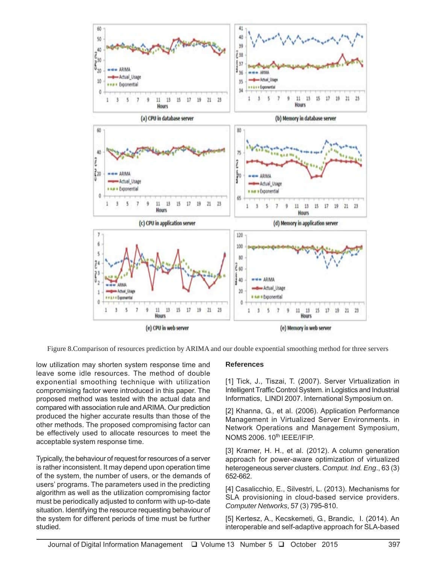

Figure 8.Comparison of resources prediction by ARIMA and our double expoential smoothing method for three servers

low utilization may shorten system response time and leave some idle resources. The method of double exponential smoothing technique with utilization compromising factor were introduced in this paper. The proposed method was tested with the actual data and compared with association rule and ARIMA. Our prediction produced the higher accurate results than those of the other methods. The proposed compromising factor can be effectively used to allocate resources to meet the acceptable system response time.

Typically, the behaviour of request for resources of a server is rather inconsistent. It may depend upon operation time of the system, the number of users, or the demands of users' programs. The parameters used in the predicting algorithm as well as the utilization compromising factor must be periodically adjusted to conform with up-to-date situation. Identifying the resource requesting behaviour of the system for different periods of time must be further studied.

## **References**

[1] Tick, J., Tiszai, T. (2007). Server Virtualization in Intelligent Traffic Control System. in Logistics and Industrial Informatics, LINDI 2007. International Symposium on.

[2] Khanna, G., et al. (2006). Application Performance Management in Virtualized Server Environments. in Network Operations and Management Symposium, NOMS 2006. 10<sup>th</sup> IEEE/IFIP.

[3] Kramer, H. H., et al. (2012). A column generation approach for power-aware optimization of virtualized heterogeneous server clusters. *Comput. Ind. Eng*., 63 (3) 652-662.

[4] Casalicchio, E., Silvestri, L. (2013). Mechanisms for SLA provisioning in cloud-based service providers. *Computer Networks*, 57 (3) 795-810.

[5] Kertesz, A., Kecskemeti, G., Brandic, I. (2014). An interoperable and self-adaptive approach for SLA-based